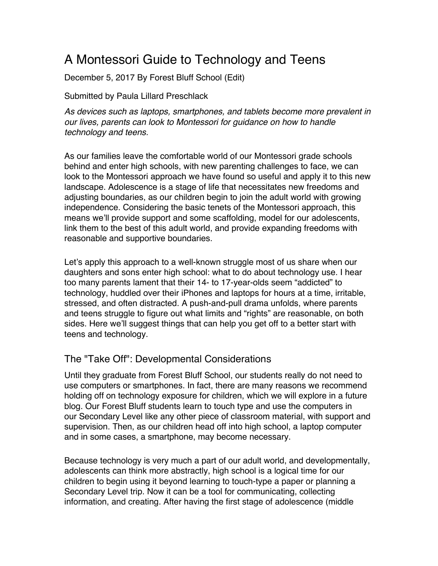# A Montessori Guide to Technology and Teens

December 5, 2017 By Forest Bluff School (Edit)

Submitted by Paula Lillard Preschlack

*As devices such as laptops, smartphones, and tablets become more prevalent in our lives, parents can look to Montessori for guidance on how to handle technology and teens.*

As our families leave the comfortable world of our Montessori grade schools behind and enter high schools, with new parenting challenges to face, we can look to the Montessori approach we have found so useful and apply it to this new landscape. Adolescence is a stage of life that necessitates new freedoms and adjusting boundaries, as our children begin to join the adult world with growing independence. Considering the basic tenets of the Montessori approach, this means we'll provide support and some scaffolding, model for our adolescents, link them to the best of this adult world, and provide expanding freedoms with reasonable and supportive boundaries.

Let's apply this approach to a well-known struggle most of us share when our daughters and sons enter high school: what to do about technology use. I hear too many parents lament that their 14- to 17-year-olds seem "addicted" to technology, huddled over their iPhones and laptops for hours at a time, irritable, stressed, and often distracted. A push-and-pull drama unfolds, where parents and teens struggle to figure out what limits and "rights" are reasonable, on both sides. Here we'll suggest things that can help you get off to a better start with teens and technology.

# The "Take Off": Developmental Considerations

Until they graduate from Forest Bluff School, our students really do not need to use computers or smartphones. In fact, there are many reasons we recommend holding off on technology exposure for children, which we will explore in a future blog. Our Forest Bluff students learn to touch type and use the computers in our Secondary Level like any other piece of classroom material, with support and supervision. Then, as our children head off into high school, a laptop computer and in some cases, a smartphone, may become necessary.

Because technology is very much a part of our adult world, and developmentally, adolescents can think more abstractly, high school is a logical time for our children to begin using it beyond learning to touch-type a paper or planning a Secondary Level trip. Now it can be a tool for communicating, collecting information, and creating. After having the first stage of adolescence (middle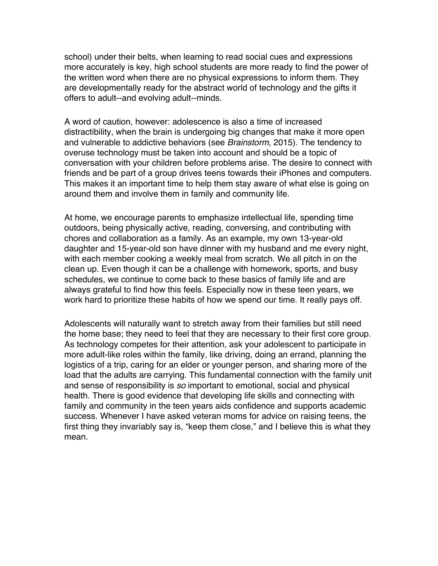school) under their belts, when learning to read social cues and expressions more accurately is key, high school students are more ready to find the power of the written word when there are no physical expressions to inform them. They are developmentally ready for the abstract world of technology and the gifts it offers to adult--and evolving adult--minds.

A word of caution, however: adolescence is also a time of increased distractibility, when the brain is undergoing big changes that make it more open and vulnerable to addictive behaviors (see *Brainstorm*, 2015). The tendency to overuse technology must be taken into account and should be a topic of conversation with your children before problems arise. The desire to connect with friends and be part of a group drives teens towards their iPhones and computers. This makes it an important time to help them stay aware of what else is going on around them and involve them in family and community life.

At home, we encourage parents to emphasize intellectual life, spending time outdoors, being physically active, reading, conversing, and contributing with chores and collaboration as a family. As an example, my own 13-year-old daughter and 15-year-old son have dinner with my husband and me every night, with each member cooking a weekly meal from scratch. We all pitch in on the clean up. Even though it can be a challenge with homework, sports, and busy schedules, we continue to come back to these basics of family life and are always grateful to find how this feels. Especially now in these teen years, we work hard to prioritize these habits of how we spend our time. It really pays off.

Adolescents will naturally want to stretch away from their families but still need the home base; they need to feel that they are necessary to their first core group. As technology competes for their attention, ask your adolescent to participate in more adult-like roles within the family, like driving, doing an errand, planning the logistics of a trip, caring for an elder or younger person, and sharing more of the load that the adults are carrying. This fundamental connection with the family unit and sense of responsibility is *so* important to emotional, social and physical health. There is good evidence that developing life skills and connecting with family and community in the teen years aids confidence and supports academic success. Whenever I have asked veteran moms for advice on raising teens, the first thing they invariably say is, "keep them close," and I believe this is what they mean.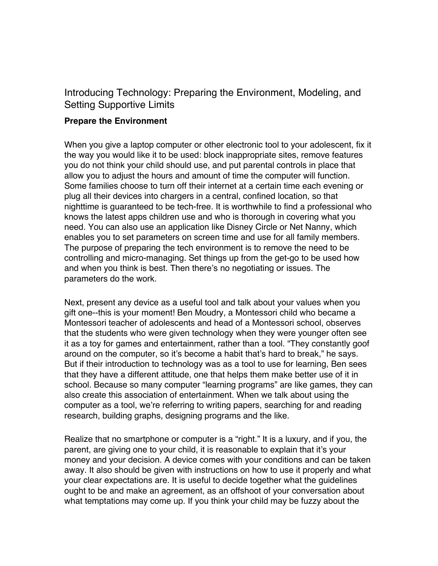# Introducing Technology: Preparing the Environment, Modeling, and Setting Supportive Limits

#### **Prepare the Environment**

When you give a laptop computer or other electronic tool to your adolescent, fix it the way you would like it to be used: block inappropriate sites, remove features you do not think your child should use, and put parental controls in place that allow you to adjust the hours and amount of time the computer will function. Some families choose to turn off their internet at a certain time each evening or plug all their devices into chargers in a central, confined location, so that nighttime is guaranteed to be tech-free. It is worthwhile to find a professional who knows the latest apps children use and who is thorough in covering what you need. You can also use an application like Disney Circle or Net Nanny, which enables you to set parameters on screen time and use for all family members. The purpose of preparing the tech environment is to remove the need to be controlling and micro-managing. Set things up from the get-go to be used how and when you think is best. Then there's no negotiating or issues. The parameters do the work.

Next, present any device as a useful tool and talk about your values when you gift one--this is your moment! Ben Moudry, a Montessori child who became a Montessori teacher of adolescents and head of a Montessori school, observes that the students who were given technology when they were younger often see it as a toy for games and entertainment, rather than a tool. "They constantly goof around on the computer, so it's become a habit that's hard to break," he says. But if their introduction to technology was as a tool to use for learning, Ben sees that they have a different attitude, one that helps them make better use of it in school. Because so many computer "learning programs" are like games, they can also create this association of entertainment. When we talk about using the computer as a tool, we're referring to writing papers, searching for and reading research, building graphs, designing programs and the like.

Realize that no smartphone or computer is a "right." It is a luxury, and if you, the parent, are giving one to your child, it is reasonable to explain that it's your money and your decision. A device comes with your conditions and can be taken away. It also should be given with instructions on how to use it properly and what your clear expectations are. It is useful to decide together what the guidelines ought to be and make an agreement, as an offshoot of your conversation about what temptations may come up. If you think your child may be fuzzy about the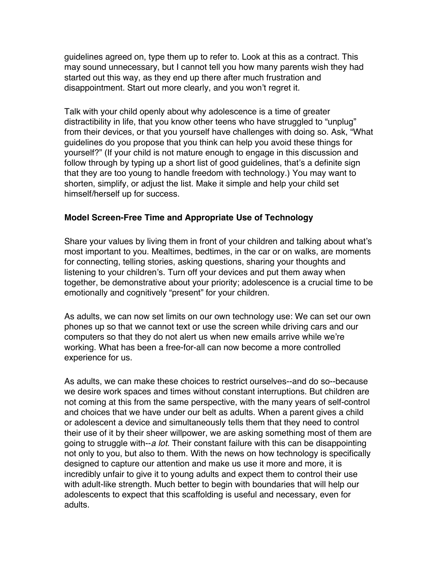guidelines agreed on, type them up to refer to. Look at this as a contract. This may sound unnecessary, but I cannot tell you how many parents wish they had started out this way, as they end up there after much frustration and disappointment. Start out more clearly, and you won't regret it.

Talk with your child openly about why adolescence is a time of greater distractibility in life, that you know other teens who have struggled to "unplug" from their devices, or that you yourself have challenges with doing so. Ask, "What guidelines do you propose that you think can help you avoid these things for yourself?" (If your child is not mature enough to engage in this discussion and follow through by typing up a short list of good guidelines, that's a definite sign that they are too young to handle freedom with technology.) You may want to shorten, simplify, or adjust the list. Make it simple and help your child set himself/herself up for success.

#### **Model Screen-Free Time and Appropriate Use of Technology**

Share your values by living them in front of your children and talking about what's most important to you. Mealtimes, bedtimes, in the car or on walks, are moments for connecting, telling stories, asking questions, sharing your thoughts and listening to your children's. Turn off your devices and put them away when together, be demonstrative about your priority; adolescence is a crucial time to be emotionally and cognitively "present" for your children.

As adults, we can now set limits on our own technology use: We can set our own phones up so that we cannot text or use the screen while driving cars and our computers so that they do not alert us when new emails arrive while we're working. What has been a free-for-all can now become a more controlled experience for us.

As adults, we can make these choices to restrict ourselves--and do so--because we desire work spaces and times without constant interruptions. But children are not coming at this from the same perspective, with the many years of self-control and choices that we have under our belt as adults. When a parent gives a child or adolescent a device and simultaneously tells them that they need to control their use of it by their sheer willpower, we are asking something most of them are going to struggle with--*a lot.* Their constant failure with this can be disappointing not only to you, but also to them. With the news on how technology is specifically designed to capture our attention and make us use it more and more, it is incredibly unfair to give it to young adults and expect them to control their use with adult-like strength. Much better to begin with boundaries that will help our adolescents to expect that this scaffolding is useful and necessary, even for adults.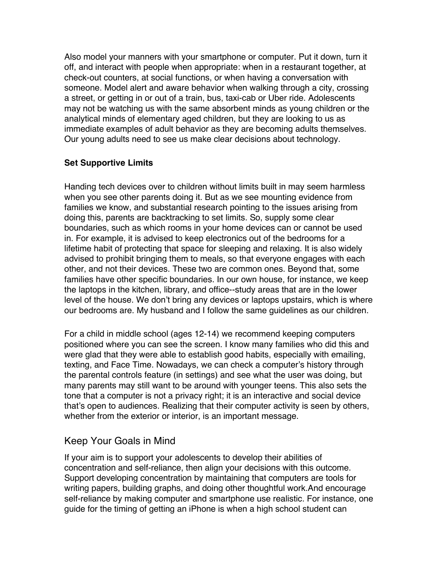Also model your manners with your smartphone or computer. Put it down, turn it off, and interact with people when appropriate: when in a restaurant together, at check-out counters, at social functions, or when having a conversation with someone. Model alert and aware behavior when walking through a city, crossing a street, or getting in or out of a train, bus, taxi-cab or Uber ride. Adolescents may not be watching us with the same absorbent minds as young children or the analytical minds of elementary aged children, but they are looking to us as immediate examples of adult behavior as they are becoming adults themselves. Our young adults need to see us make clear decisions about technology.

#### **Set Supportive Limits**

Handing tech devices over to children without limits built in may seem harmless when you see other parents doing it. But as we see mounting evidence from families we know, and substantial research pointing to the issues arising from doing this, parents are backtracking to set limits. So, supply some clear boundaries, such as which rooms in your home devices can or cannot be used in. For example, it is advised to keep electronics out of the bedrooms for a lifetime habit of protecting that space for sleeping and relaxing. It is also widely advised to prohibit bringing them to meals, so that everyone engages with each other, and not their devices. These two are common ones. Beyond that, some families have other specific boundaries. In our own house, for instance, we keep the laptops in the kitchen, library, and office--study areas that are in the lower level of the house. We don't bring any devices or laptops upstairs, which is where our bedrooms are. My husband and I follow the same guidelines as our children.

For a child in middle school (ages 12-14) we recommend keeping computers positioned where you can see the screen. I know many families who did this and were glad that they were able to establish good habits, especially with emailing, texting, and Face Time. Nowadays, we can check a computer's history through the parental controls feature (in settings) and see what the user was doing, but many parents may still want to be around with younger teens. This also sets the tone that a computer is not a privacy right; it is an interactive and social device that's open to audiences. Realizing that their computer activity is seen by others, whether from the exterior or interior, is an important message.

# Keep Your Goals in Mind

If your aim is to support your adolescents to develop their abilities of concentration and self-reliance, then align your decisions with this outcome. Support developing concentration by maintaining that computers are tools for writing papers, building graphs, and doing other thoughtful work.And encourage self-reliance by making computer and smartphone use realistic. For instance, one guide for the timing of getting an iPhone is when a high school student can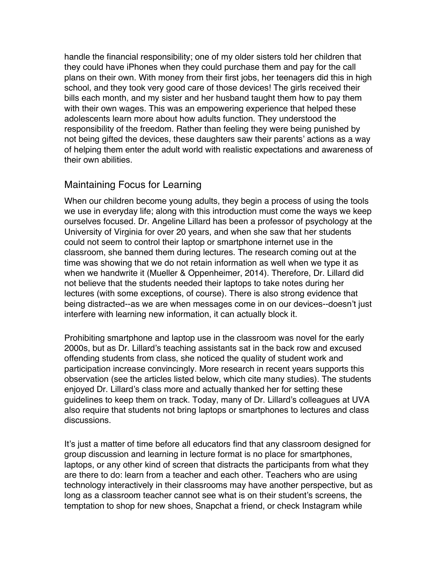handle the financial responsibility; one of my older sisters told her children that they could have iPhones when they could purchase them and pay for the call plans on their own. With money from their first jobs, her teenagers did this in high school, and they took very good care of those devices! The girls received their bills each month, and my sister and her husband taught them how to pay them with their own wages. This was an empowering experience that helped these adolescents learn more about how adults function. They understood the responsibility of the freedom. Rather than feeling they were being punished by not being gifted the devices, these daughters saw their parents' actions as a way of helping them enter the adult world with realistic expectations and awareness of their own abilities.

## Maintaining Focus for Learning

When our children become young adults, they begin a process of using the tools we use in everyday life; along with this introduction must come the ways we keep ourselves focused. Dr. Angeline Lillard has been a professor of psychology at the University of Virginia for over 20 years, and when she saw that her students could not seem to control their laptop or smartphone internet use in the classroom, she banned them during lectures. The research coming out at the time was showing that we do not retain information as well when we type it as when we handwrite it (Mueller & Oppenheimer, 2014). Therefore, Dr. Lillard did not believe that the students needed their laptops to take notes during her lectures (with some exceptions, of course). There is also strong evidence that being distracted--as we are when messages come in on our devices--doesn't just interfere with learning new information, it can actually block it.

Prohibiting smartphone and laptop use in the classroom was novel for the early 2000s, but as Dr. Lillard's teaching assistants sat in the back row and excused offending students from class, she noticed the quality of student work and participation increase convincingly. More research in recent years supports this observation (see the articles listed below, which cite many studies). The students enjoyed Dr. Lillard's class more and actually thanked her for setting these guidelines to keep them on track. Today, many of Dr. Lillard's colleagues at UVA also require that students not bring laptops or smartphones to lectures and class discussions.

It's just a matter of time before all educators find that any classroom designed for group discussion and learning in lecture format is no place for smartphones, laptops, or any other kind of screen that distracts the participants from what they are there to do: learn from a teacher and each other. Teachers who are using technology interactively in their classrooms may have another perspective, but as long as a classroom teacher cannot see what is on their student's screens, the temptation to shop for new shoes, Snapchat a friend, or check Instagram while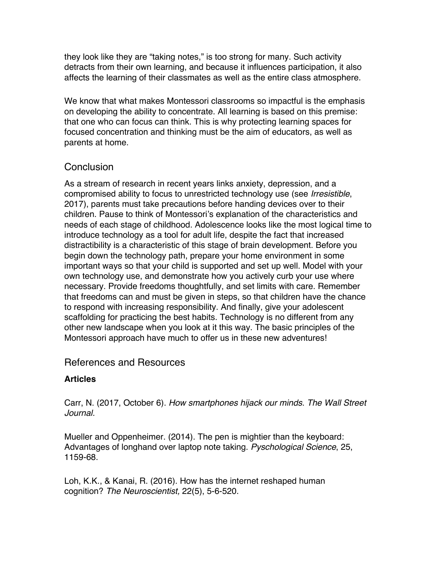they look like they are "taking notes," is too strong for many. Such activity detracts from their own learning, and because it influences participation, it also affects the learning of their classmates as well as the entire class atmosphere.

We know that what makes Montessori classrooms so impactful is the emphasis on developing the ability to concentrate. All learning is based on this premise: that one who can focus can think. This is why protecting learning spaces for focused concentration and thinking must be the aim of educators, as well as parents at home.

## **Conclusion**

As a stream of research in recent years links anxiety, depression, and a compromised ability to focus to unrestricted technology use (see *Irresistible*, 2017), parents must take precautions before handing devices over to their children. Pause to think of Montessori's explanation of the characteristics and needs of each stage of childhood. Adolescence looks like the most logical time to introduce technology as a tool for adult life, despite the fact that increased distractibility is a characteristic of this stage of brain development. Before you begin down the technology path, prepare your home environment in some important ways so that your child is supported and set up well. Model with your own technology use, and demonstrate how you actively curb your use where necessary. Provide freedoms thoughtfully, and set limits with care. Remember that freedoms can and must be given in steps, so that children have the chance to respond with increasing responsibility. And finally, give your adolescent scaffolding for practicing the best habits. Technology is no different from any other new landscape when you look at it this way. The basic principles of the Montessori approach have much to offer us in these new adventures!

# References and Resources

## **Articles**

Carr, N. (2017, October 6). *How smartphones hijack our minds*. *The Wall Street Journal.*

Mueller and Oppenheimer. (2014). The pen is mightier than the keyboard: Advantages of longhand over laptop note taking. *Pyschological Science*, 25, 1159-68.

Loh, K.K., & Kanai, R. (2016). How has the internet reshaped human cognition? *The Neuroscientist,* 22(5), 5-6-520.